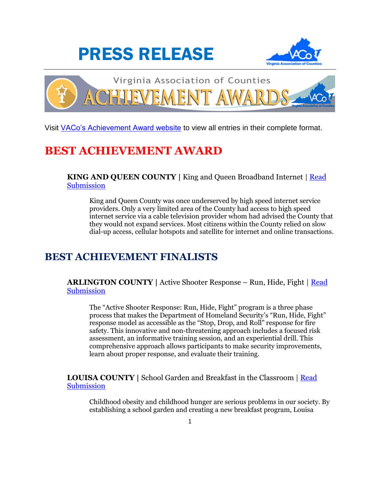





Visit [VACo's Achievement Award website](http://www.vaco.org/membership/achievement-awards/2016-achievement-awards-entries/) to view all entries in their complete format.

# **BEST ACHIEVEMENT AWARD**

**KING AND QUEEN COUNTY** | King and Queen Broadband Internet | **Read [Submission](http://www.vaco.org/AchievementAwards/Entries2016/KingQueenBroadband/KingQueenBroadband.pdf)** 

King and Queen County was once underserved by high speed internet service providers. Only a very limited area of the County had access to high speed internet service via a cable television provider whom had advised the County that they would not expand services. Most citizens within the County relied on slow dial-up access, cellular hotspots and satellite for internet and online transactions.

## **BEST ACHIEVEMENT FINALISTS**

**ARLINGTON COUNTY |** Active Shooter Response – Run, Hide, Fight | [Read](http://www.vaco.org/AchievementAwards/Entries2016/ArlingtonRunHideFight/ArlingtonRunHideFight.pdf)  **[Submission](http://www.vaco.org/AchievementAwards/Entries2016/ArlingtonRunHideFight/ArlingtonRunHideFight.pdf)** 

The "Active Shooter Response: Run, Hide, Fight" program is a three phase process that makes the Department of Homeland Security's "Run, Hide, Fight" response model as accessible as the "Stop, Drop, and Roll" response for fire safety. This innovative and non-threatening approach includes a focused risk assessment, an informative training session, and an experiential drill. This comprehensive approach allows participants to make security improvements, learn about proper response, and evaluate their training.

**LOUISA COUNTY |** School Garden and Breakfast in the Classroom | [Read](http://www.vaco.org/AchievementAwards/Entries2016/LouisaSchoolGardenBreakfastClassroom/LouisaSchoolGardenBreakfastClassroom.pdf)  [Submission](http://www.vaco.org/AchievementAwards/Entries2016/LouisaSchoolGardenBreakfastClassroom/LouisaSchoolGardenBreakfastClassroom.pdf)

Childhood obesity and childhood hunger are serious problems in our society. By establishing a school garden and creating a new breakfast program, Louisa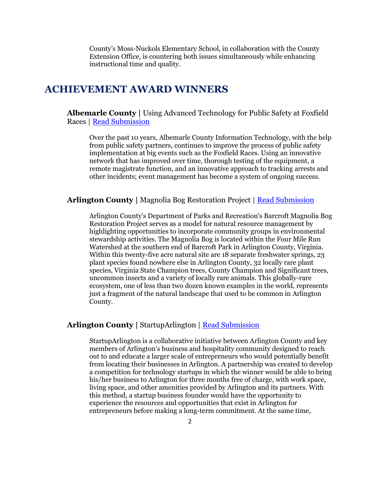County's Moss-Nuckols Elementary School, in collaboration with the County Extension Office, is countering both issues simultaneously while enhancing instructional time and quality.

## **ACHIEVEMENT AWARD WINNERS**

**Albemarle County |** Using Advanced Technology for Public Safety at Foxfield Races | [Read Submission](http://www.vaco.org/AchievementAwards/Entries2016/AlbemarleFoxfieldRaces/AlbemarleFoxfieldRaces.pdf)

Over the past 10 years, Albemarle County Information Technology, with the help from public safety partners, continues to improve the process of public safety implementation at big events such as the Foxfield Races. Using an innovative network that has improved over time, thorough testing of the equipment, a remote magistrate function, and an innovative approach to tracking arrests and other incidents; event management has become a system of ongoing success.

#### **Arlington County |** Magnolia Bog Restoration Project | [Read Submission](http://www.vaco.org/AchievementAwards/Entries2016/ArlingtonMagnoliaBogRestoration/ArlingtonMagnoliaBogRestoration.pdf)

Arlington County's Department of Parks and Recreation's Barcroft Magnolia Bog Restoration Project serves as a model for natural resource management by highlighting opportunities to incorporate community groups in environmental stewardship activities. The Magnolia Bog is located within the Four Mile Run Watershed at the southern end of Barcroft Park in Arlington County, Virginia. Within this twenty-five acre natural site are 18 separate freshwater springs, 23 plant species found nowhere else in Arlington County, 32 locally rare plant species, Virginia State Champion trees, County Champion and Significant trees, uncommon insects and a variety of locally rare animals. This globally-rare ecosystem, one of less than two dozen known examples in the world, represents just a fragment of the natural landscape that used to be common in Arlington County.

### **Arlington County |** StartupArlington | [Read Submission](http://www.vaco.org/AchievementAwards/Entries2016/ArlingtonStartupArlington/ArlingtonStartupArlington.pdf)

StartupArlington is a collaborative initiative between Arlington County and key members of Arlington's business and hospitality community designed to reach out to and educate a larger scale of entrepreneurs who would potentially benefit from locating their businesses in Arlington. A partnership was created to develop a competition for technology startups in which the winner would be able to bring his/her business to Arlington for three months free of charge, with work space, living space, and other amenities provided by Arlington and its partners. With this method, a startup business founder would have the opportunity to experience the resources and opportunities that exist in Arlington for entrepreneurs before making a long-term commitment. At the same time,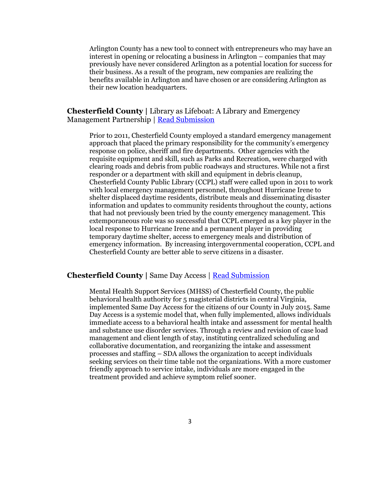Arlington County has a new tool to connect with entrepreneurs who may have an interest in opening or relocating a business in Arlington – companies that may previously have never considered Arlington as a potential location for success for their business. As a result of the program, new companies are realizing the benefits available in Arlington and have chosen or are considering Arlington as their new location headquarters.

#### **Chesterfield County |** Library as Lifeboat: A Library and Emergency Management Partnership | [Read Submission](http://www.vaco.org/AchievementAwards/Entries2016/ChesterfieldLibraryLifeboat/ChesterfieldLibraryLifeboat.pdf)

Prior to 2011, Chesterfield County employed a standard emergency management approach that placed the primary responsibility for the community's emergency response on police, sheriff and fire departments. Other agencies with the requisite equipment and skill, such as Parks and Recreation, were charged with clearing roads and debris from public roadways and structures. While not a first responder or a department with skill and equipment in debris cleanup, Chesterfield County Public Library (CCPL) staff were called upon in 2011 to work with local emergency management personnel, throughout Hurricane Irene to shelter displaced daytime residents, distribute meals and disseminating disaster information and updates to community residents throughout the county, actions that had not previously been tried by the county emergency management. This extemporaneous role was so successful that CCPL emerged as a key player in the local response to Hurricane Irene and a permanent player in providing temporary daytime shelter, access to emergency meals and distribution of emergency information. By increasing intergovernmental cooperation, CCPL and Chesterfield County are better able to serve citizens in a disaster.

#### **Chesterfield County |** Same Day Access | [Read Submission](http://www.vaco.org/AchievementAwards/Entries2016/ChesterfieldSameDayAccess/ChesterfieldSameDayAccess.pdf)

Mental Health Support Services (MHSS) of Chesterfield County, the public behavioral health authority for 5 magisterial districts in central Virginia, implemented Same Day Access for the citizens of our County in July 2015. Same Day Access is a systemic model that, when fully implemented, allows individuals immediate access to a behavioral health intake and assessment for mental health and substance use disorder services. Through a review and revision of case load management and client length of stay, instituting centralized scheduling and collaborative documentation, and reorganizing the intake and assessment processes and staffing – SDA allows the organization to accept individuals seeking services on their time table not the organizations. With a more customer friendly approach to service intake, individuals are more engaged in the treatment provided and achieve symptom relief sooner.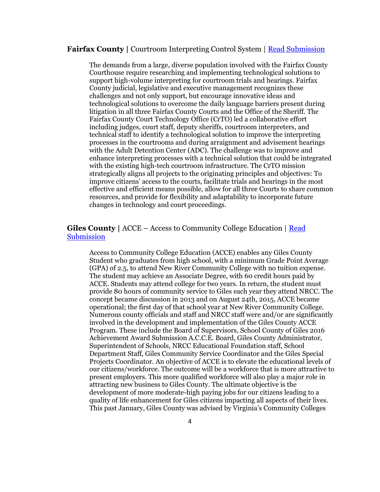#### **Fairfax County |** Courtroom Interpreting Control System | [Read Submission](http://www.vaco.org/AchievementAwards/Entries2016/FairfaxCourtroomInterpretingSystem/FairfaxCourtroomInterpretingSystem.pdf)

The demands from a large, diverse population involved with the Fairfax County Courthouse require researching and implementing technological solutions to support high-volume interpreting for courtroom trials and hearings. Fairfax County judicial, legislative and executive management recognizes these challenges and not only support, but encourage innovative ideas and technological solutions to overcome the daily language barriers present during litigation in all three Fairfax County Courts and the Office of the Sheriff. The Fairfax County Court Technology Office (CrTO) led a collaborative effort including judges, court staff, deputy sheriffs, courtroom interpreters, and technical staff to identify a technological solution to improve the interpreting processes in the courtrooms and during arraignment and advisement hearings with the Adult Detention Center (ADC). The challenge was to improve and enhance interpreting processes with a technical solution that could be integrated with the existing high-tech courtroom infrastructure. The CrTO mission strategically aligns all projects to the originating principles and objectives: To improve citizens' access to the courts, facilitate trials and hearings in the most effective and efficient means possible, allow for all three Courts to share common resources, and provide for flexibility and adaptability to incorporate future changes in technology and court proceedings.

## **Giles County |** ACCE – Access to Community College Education | [Read](http://www.vaco.org/AchievementAwards/Entries2016/GilesACCE/GilesACCE.pdf)  **[Submission](http://www.vaco.org/AchievementAwards/Entries2016/GilesACCE/GilesACCE.pdf)**

Access to Community College Education (ACCE) enables any Giles County Student who graduates from high school, with a minimum Grade Point Average (GPA) of 2.5, to attend New River Community College with no tuition expense. The student may achieve an Associate Degree, with 60 credit hours paid by ACCE. Students may attend college for two years. In return, the student must provide 80 hours of community service to Giles each year they attend NRCC. The concept became discussion in 2013 and on August 24th, 2015, ACCE became operational; the first day of that school year at New River Community College. Numerous county officials and staff and NRCC staff were and/or are significantly involved in the development and implementation of the Giles County ACCE Program. These include the Board of Supervisors, School County of Giles 2016 Achievement Award Submission A.C.C.E. Board, Giles County Administrator, Superintendent of Schools, NRCC Educational Foundation staff, School Department Staff, Giles Community Service Coordinator and the Giles Special Projects Coordinator. An objective of ACCE is to elevate the educational levels of our citizens/workforce. The outcome will be a workforce that is more attractive to present employers. This more qualified workforce will also play a major role in attracting new business to Giles County. The ultimate objective is the development of more moderate-high paying jobs for our citizens leading to a quality of life enhancement for Giles citizens impacting all aspects of their lives. This past January, Giles County was advised by Virginia's Community Colleges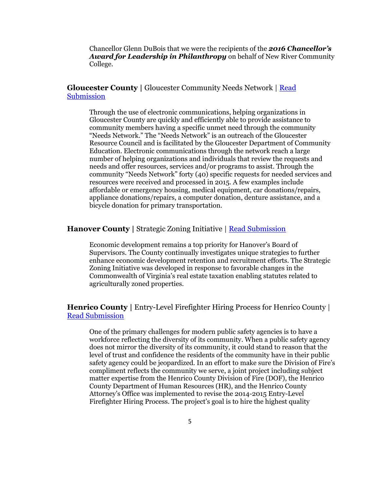Chancellor Glenn DuBois that we were the recipients of the *2016 Chancellor's Award for Leadership in Philanthropy* on behalf of New River Community College.

**Gloucester County |** Gloucester Community Needs Network | [Read](http://www.vaco.org/AchievementAwards/Entries2016/GloucesterCommunityNeedsNetwork/GloucesterCommunityNeedsNetwork.pdf)  **[Submission](http://www.vaco.org/AchievementAwards/Entries2016/GloucesterCommunityNeedsNetwork/GloucesterCommunityNeedsNetwork.pdf)** 

Through the use of electronic communications, helping organizations in Gloucester County are quickly and efficiently able to provide assistance to community members having a specific unmet need through the community "Needs Network." The "Needs Network" is an outreach of the Gloucester Resource Council and is facilitated by the Gloucester Department of Community Education. Electronic communications through the network reach a large number of helping organizations and individuals that review the requests and needs and offer resources, services and/or programs to assist. Through the community "Needs Network" forty (40) specific requests for needed services and resources were received and processed in 2015. A few examples include affordable or emergency housing, medical equipment, car donations/repairs, appliance donations/repairs, a computer donation, denture assistance, and a bicycle donation for primary transportation.

#### **Hanover County |** Strategic Zoning Initiative | [Read Submission](http://www.vaco.org/AchievementAwards/Entries2016/HanoverStrategicZoningInitiative/HanoverStrategicZoningInitiative.pdf)

Economic development remains a top priority for Hanover's Board of Supervisors. The County continually investigates unique strategies to further enhance economic development retention and recruitment efforts. The Strategic Zoning Initiative was developed in response to favorable changes in the Commonwealth of Virginia's real estate taxation enabling statutes related to agriculturally zoned properties.

**Henrico County** | Entry-Level Firefighter Hiring Process for Henrico County | [Read Submission](http://www.vaco.org/AchievementAwards/Entries2016/HenricoEntryLevelFirefighterHiring/HenricoEntryLevelFirefighterHiring.pdf)

One of the primary challenges for modern public safety agencies is to have a workforce reflecting the diversity of its community. When a public safety agency does not mirror the diversity of its community, it could stand to reason that the level of trust and confidence the residents of the community have in their public safety agency could be jeopardized. In an effort to make sure the Division of Fire's compliment reflects the community we serve, a joint project including subject matter expertise from the Henrico County Division of Fire (DOF), the Henrico County Department of Human Resources (HR), and the Henrico County Attorney's Office was implemented to revise the 2014-2015 Entry-Level Firefighter Hiring Process. The project's goal is to hire the highest quality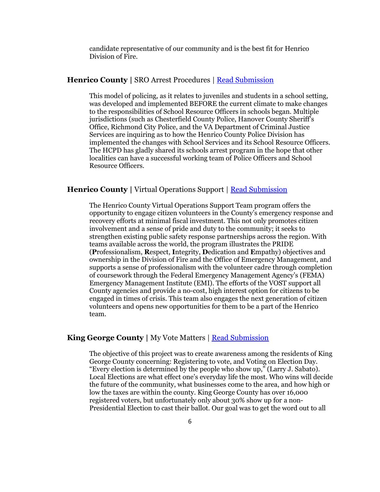candidate representative of our community and is the best fit for Henrico Division of Fire.

#### **Henrico County |** SRO Arrest Procedures | [Read Submission](http://www.vaco.org/AchievementAwards/Entries2016/HenricoSROArrestProcedures/HenricoSROArrestProcedures.pdf)

This model of policing, as it relates to juveniles and students in a school setting, was developed and implemented BEFORE the current climate to make changes to the responsibilities of School Resource Officers in schools began. Multiple jurisdictions (such as Chesterfield County Police, Hanover County Sheriff's Office, Richmond City Police, and the VA Department of Criminal Justice Services are inquiring as to how the Henrico County Police Division has implemented the changes with School Services and its School Resource Officers. The HCPD has gladly shared its schools arrest program in the hope that other localities can have a successful working team of Police Officers and School Resource Officers.

## **Henrico County |** Virtual Operations Support | [Read Submission](http://www.vaco.org/AchievementAwards/Entries2016/HenricoVirtualOperationsSupportTeam/HenricoVirtualOperationsSupportTeam.pdf)

The Henrico County Virtual Operations Support Team program offers the opportunity to engage citizen volunteers in the County's emergency response and recovery efforts at minimal fiscal investment. This not only promotes citizen involvement and a sense of pride and duty to the community; it seeks to strengthen existing public safety response partnerships across the region. With teams available across the world, the program illustrates the PRIDE (**P**rofessionalism, **R**espect, **I**ntegrity, **D**edication and **E**mpathy) objectives and ownership in the Division of Fire and the Office of Emergency Management, and supports a sense of professionalism with the volunteer cadre through completion of coursework through the Federal Emergency Management Agency's (FEMA) Emergency Management Institute (EMI). The efforts of the VOST support all County agencies and provide a no-cost, high interest option for citizens to be engaged in times of crisis. This team also engages the next generation of citizen volunteers and opens new opportunities for them to be a part of the Henrico team.

#### **King George County** | My Vote Matters | [Read Submission](http://www.vaco.org/AchievementAwards/Entries2016/KingGeorgeMyVoteMatters/KingGeorgeMyVoteMatters.pdf)

The objective of this project was to create awareness among the residents of King George County concerning: Registering to vote, and Voting on Election Day. "Every election is determined by the people who show up," (Larry J. Sabato). Local Elections are what effect one's everyday life the most. Who wins will decide the future of the community, what businesses come to the area, and how high or low the taxes are within the county. King George County has over 16,000 registered voters, but unfortunately only about 30% show up for a non-Presidential Election to cast their ballot. Our goal was to get the word out to all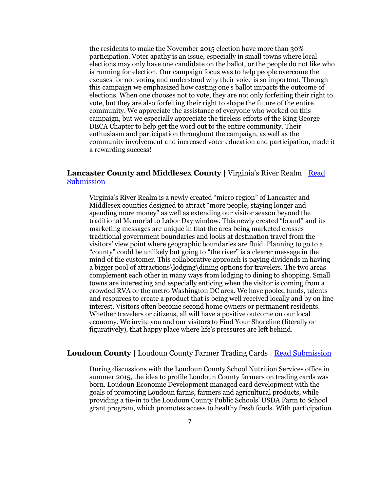the residents to make the November 2015 election have more than 30% participation. Voter apathy is an issue, especially in small towns where local elections may only have one candidate on the ballot, or the people do not like who is running for election. Our campaign focus was to help people overcome the excuses for not voting and understand why their voice is so important. Through this campaign we emphasized how casting one's ballot impacts the outcome of elections. When one chooses not to vote, they are not only forfeiting their right to vote, but they are also forfeiting their right to shape the future of the entire community. We appreciate the assistance of everyone who worked on this campaign, but we especially appreciate the tireless efforts of the King George DECA Chapter to help get the word out to the entire community. Their enthusiasm and participation throughout the campaign, as well as the community involvement and increased voter education and participation, made it a rewarding success!

## **Lancaster County and Middlesex County |** Virginia's River Realm | [Read](http://www.vaco.org/AchievementAwards/Entries2016/LancasterMiddlesexRiverRealm/LancasterMiddlesexRiverRealm.pdf)  **[Submission](http://www.vaco.org/AchievementAwards/Entries2016/LancasterMiddlesexRiverRealm/LancasterMiddlesexRiverRealm.pdf)**

Virginia's River Realm is a newly created "micro region" of Lancaster and Middlesex counties designed to attract "more people, staying longer and spending more money" as well as extending our visitor season beyond the traditional Memorial to Labor Day window. This newly created "brand" and its marketing messages are unique in that the area being marketed crosses traditional government boundaries and looks at destination travel from the visitors' view point where geographic boundaries are fluid. Planning to go to a "county" could be unlikely but going to "the river" is a clearer message in the mind of the customer. This collaborative approach is paying dividends in having a bigger pool of attractions\lodging\dining options for travelers. The two areas complement each other in many ways from lodging to dining to shopping. Small towns are interesting and especially enticing when the visitor is coming from a crowded RVA or the metro Washington DC area. We have pooled funds, talents and resources to create a product that is being well received locally and by on line interest. Visitors often become second home owners or permanent residents. Whether travelers or citizens, all will have a positive outcome on our local economy. We invite you and our visitors to Find Your Shoreline (literally or figuratively), that happy place where life's pressures are left behind.

#### **Loudoun County |** Loudoun County Farmer Trading Cards | [Read Submission](http://www.vaco.org/AchievementAwards/Entries2016/LoudounFarmerTradingCards/LoudounFarmerTradingCards.pdf)

During discussions with the Loudoun County School Nutrition Services office in summer 2015, the idea to profile Loudoun County farmers on trading cards was born. Loudoun Economic Development managed card development with the goals of promoting Loudoun farms, farmers and agricultural products, while providing a tie-in to the Loudoun County Public Schools' USDA Farm to School grant program, which promotes access to healthy fresh foods. With participation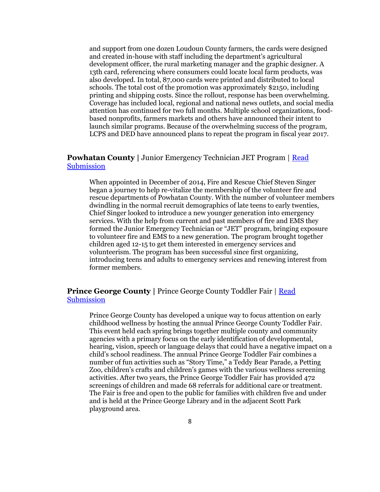and support from one dozen Loudoun County farmers, the cards were designed and created in-house with staff including the department's agricultural development officer, the rural marketing manager and the graphic designer. A 13th card, referencing where consumers could locate local farm products, was also developed. In total, 87,000 cards were printed and distributed to local schools. The total cost of the promotion was approximately \$2150, including printing and shipping costs. Since the rollout, response has been overwhelming. Coverage has included local, regional and national news outlets, and social media attention has continued for two full months. Multiple school organizations, foodbased nonprofits, farmers markets and others have announced their intent to launch similar programs. Because of the overwhelming success of the program, LCPS and DED have announced plans to repeat the program in fiscal year 2017.

### **Powhatan County |** Junior Emergency Technician JET Program | [Read](http://www.vaco.org/AchievementAwards/Entries2016/PowhatanJuniorEmergencyTechnician/PowhatanJuniorEmergencyTechnician.pdf)  [Submission](http://www.vaco.org/AchievementAwards/Entries2016/PowhatanJuniorEmergencyTechnician/PowhatanJuniorEmergencyTechnician.pdf)

When appointed in December of 2014, Fire and Rescue Chief Steven Singer began a journey to help re-vitalize the membership of the volunteer fire and rescue departments of Powhatan County. With the number of volunteer members dwindling in the normal recruit demographics of late teens to early twenties, Chief Singer looked to introduce a new younger generation into emergency services. With the help from current and past members of fire and EMS they formed the Junior Emergency Technician or "JET" program, bringing exposure to volunteer fire and EMS to a new generation. The program brought together children aged 12-15 to get them interested in emergency services and volunteerism. The program has been successful since first organizing, introducing teens and adults to emergency services and renewing interest from former members.

## **Prince George County** | Prince George County Toddler Fair | Read **[Submission](http://www.vaco.org/AchievementAwards/Entries2016/PrinceGeorgeToddlerFair/PrinceGeorgeToddlerFair.pdf)**

Prince George County has developed a unique way to focus attention on early childhood wellness by hosting the annual Prince George County Toddler Fair. This event held each spring brings together multiple county and community agencies with a primary focus on the early identification of developmental, hearing, vision, speech or language delays that could have a negative impact on a child's school readiness. The annual Prince George Toddler Fair combines a number of fun activities such as "Story Time," a Teddy Bear Parade, a Petting Zoo, children's crafts and children's games with the various wellness screening activities. After two years, the Prince George Toddler Fair has provided 472 screenings of children and made 68 referrals for additional care or treatment. The Fair is free and open to the public for families with children five and under and is held at the Prince George Library and in the adjacent Scott Park playground area.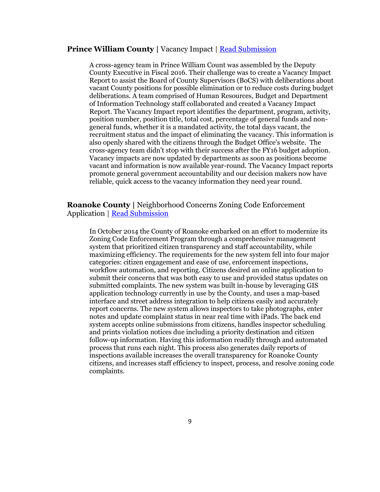#### **Prince William County** | Vacancy Impact | [Read Submission](http://www.vaco.org/AchievementAwards/Entries2016/PrinceWilliamVacancyImpactReport/PrinceWilliamVacancyImpactReport.pdf)

A cross-agency team in Prince William Count was assembled by the Deputy County Executive in Fiscal 2016. Their challenge was to create a Vacancy Impact Report to assist the Board of County Supervisors (BoCS) with deliberations about vacant County positions for possible elimination or to reduce costs during budget deliberations. A team comprised of Human Resources, Budget and Department of Information Technology staff collaborated and created a Vacancy Impact Report. The Vacancy Impact report identifies the department, program, activity, position number, position title, total cost, percentage of general funds and nongeneral funds, whether it is a mandated activity, the total days vacant, the recruitment status and the impact of eliminating the vacancy. This information is also openly shared with the citizens through the Budget Office's website. The cross-agency team didn't stop with their success after the FY16 budget adoption. Vacancy impacts are now updated by departments as soon as positions become vacant and information is now available year-round. The Vacancy Impact reports promote general government accountability and our decision makers now have reliable, quick access to the vacancy information they need year round.

**Roanoke County |** Neighborhood Concerns Zoning Code Enforcement Application | [Read Submission](http://www.vaco.org/AchievementAwards/Entries2016/RoanokeNeighborhoodConcerns/RoanokeNeighborhoodConcerns.pdf)

In October 2014 the County of Roanoke embarked on an effort to modernize its Zoning Code Enforcement Program through a comprehensive management system that prioritized citizen transparency and staff accountability, while maximizing efficiency. The requirements for the new system fell into four major categories: citizen engagement and ease of use, enforcement inspections, workflow automation, and reporting. Citizens desired an online application to submit their concerns that was both easy to use and provided status updates on submitted complaints. The new system was built in-house by leveraging GIS application technology currently in use by the County, and uses a map-based interface and street address integration to help citizens easily and accurately report concerns. The new system allows inspectors to take photographs, enter notes and update complaint status in near real time with iPads. The back end system accepts online submissions from citizens, handles inspector scheduling and prints violation notices due including a priority destination and citizen follow-up information. Having this information readily through and automated process that runs each night. This process also generates daily reports of inspections available increases the overall transparency for Roanoke County citizens, and increases staff efficiency to inspect, process, and resolve zoning code complaints.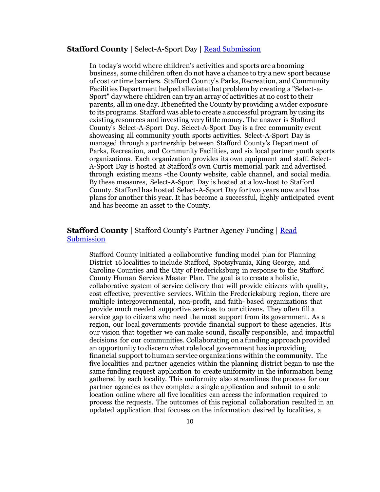#### **Stafford County |** Select-A-Sport Day | [Read Submission](http://www.vaco.org/AchievementAwards/Entries2016/StaffordSelectSportDay/StaffordSelectSportDay.pdf)

In today's world where children's activities and sports are abooming business, some children often do not have a chance to try a new sport because of cost or time barriers. Stafford County's Parks, Recreation, and Community Facilities Department helped alleviate that problem by creating a "Select-a-Sport" day where children can try an array of activities at no cost to their parents, all in one day. Itbenefited the County by providing a wider exposure to itsprograms. Stafford was able to create a successful program by using its existing resources and investing very littlemoney. The answer is Stafford County's Select-A-Sport Day. Select-A-Sport Day is a free community event showcasing all community youth sports activities. Select-A-Sport Day is managed through a partnership between Stafford County's Department of Parks, Recreation, and Community Facilities, and six local partner youth sports organizations. Each organization provides its own equipment and staff. Select-A-Sport Day is hosted at Stafford's own Curtis memorial park and advertised through existing means -the County website, cable channel, and social media. By these measures, Select-A-Sport Day is hosted at a low-host to Stafford County. Stafford has hosted Select-A-Sport Day for two years now and has plans for another this year. It has become a successful, highly anticipated event and has become an asset to the County.

## **Stafford County |** Stafford County's Partner Agency Funding | [Read](http://www.vaco.org/AchievementAwards/Entries2016/StaffordPartnerAgencyPackage/StaffordPartnerAgencyPackage.pdf)  [Submission](http://www.vaco.org/AchievementAwards/Entries2016/StaffordPartnerAgencyPackage/StaffordPartnerAgencyPackage.pdf)

Stafford County initiated a collaborative funding model plan for Planning District 16 localities to include Stafford, Spotsylvania, King George, and Caroline Counties and the City of Fredericksburg in response to the Stafford County Human Services Master Plan. The goal is to create a holistic, collaborative system of service delivery that will provide citizens with quality, cost effective, preventive services. Within the Fredericksburg region, there are multiple intergovernmental, non-profit, and faith- based organizations that provide much needed supportive services to our citizens. They often fill a service gap to citizens who need the most support from its government. As a region, our local governments provide financial support to these agencies. Itis our vision that together we can make sound, fiscally responsible, and impactful decisions for our communities. Collaborating on a funding approach provided an opportunity to discern what role local government has inproviding financial support tohuman service organizations within the community. The five localities and partner agencies within the planning district began to use the same funding request application to create uniformity in the information being gathered by each locality. This uniformity also streamlines the process for our partner agencies as they complete a single application and submit to a sole location online where all five localities can access the information required to process the requests. The outcomes of this regional collaboration resulted in an updated application that focuses on the information desired by localities, a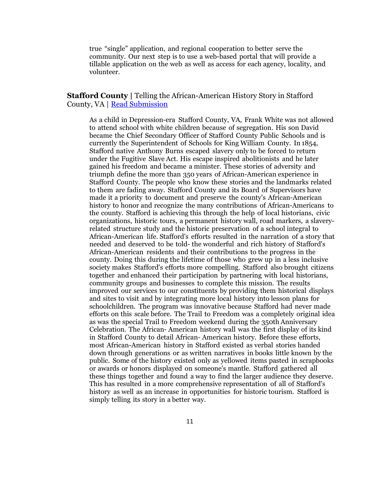true "single" application, and regional cooperation to better serve the community. Our next step is to use a web-based portal that will provide a tillable application on the web as well as access for each agency, locality, and volunteer.

**Stafford County** | Telling the African-American History Story in Stafford County, VA | [Read Submission](http://www.vaco.org/AchievementAwards/Entries2016/StaffordAfricanAmericanHistory/StaffordAfricanAmericanHistory.pdf)

As a child in Depression-era Stafford County, VA, Frank White was not allowed to attend school with white children because of segregation. His son David became the Chief Secondary Officer of Stafford County Public Schools and is currently the Superintendent of Schools for King William County. In 1854, Stafford native Anthony Burns escaped slavery only to be forced to return under the Fugitive Slave Act. His escape inspired abolitionists and he later gained his freedom and became a minister. These stories of adversity and triumph define the more than 350 years of African-American experience in Stafford County. The people who know these stories and the landmarks related to them are fading away. Stafford County and its Board of Supervisors have made it a priority to document and preserve the county's African-American history to honor and recognize the many contributions of African-Americans to the county. Stafford is achieving this through the help of local historians, civic organizations, historic tours, a permanent history wall, road markers, a slaveryrelated structure study and the historic preservation of a school integral to African-American life. Stafford's efforts resulted in the narration of a story that needed and deserved to be told- the wonderful and rich history of Stafford's African-American residents and their contributions to the progress in the county. Doing this during the lifetime of those who grew up in a less inclusive society makes Stafford's efforts more compelling. Stafford also brought citizens together and enhanced their participation by partnering with local historians, community groups and businesses to complete this mission. The results improved our services to our constituents by providing them historical displays and sites to visit and by integrating more local history into lesson plans for schoolchildren. The program was innovative because Stafford had never made efforts on this scale before. The Trail to Freedom was a completely original idea as was the special Trail to Freedom weekend during the 350th Anniversary Celebration. The African- American history wall was the first display of its kind in Stafford County to detail African- American history. Before these efforts, most African-American history in Stafford existed as verbal stories handed down through generations or as written narratives in books little known by the public. Some of the history existed only as yellowed items pasted in scrapbooks or awards or honors displayed on someone's mantle. Stafford gathered all these things together and found a way to find the larger audience they deserve. This has resulted in a more comprehensive representation of all of Stafford's history as well as an increase in opportunities for historic tourism. Stafford is simply telling its story in a better way.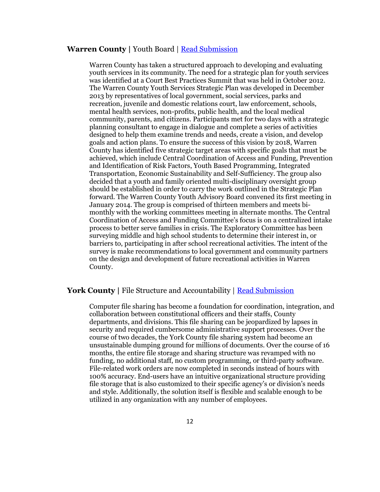#### **Warren County |** Youth Board | [Read Submission](http://www.vaco.org/AchievementAwards/Entries2016/WarrenYouthBoard/WarrenYouthBoard.pdf)

Warren County has taken a structured approach to developing and evaluating youth services in its community. The need for a strategic plan for youth services was identified at a Court Best Practices Summit that was held in October 2012. The Warren County Youth Services Strategic Plan was developed in December 2013 by representatives of local government, social services, parks and recreation, juvenile and domestic relations court, law enforcement, schools, mental health services, non-profits, public health, and the local medical community, parents, and citizens. Participants met for two days with a strategic planning consultant to engage in dialogue and complete a series of activities designed to help them examine trends and needs, create a vision, and develop goals and action plans. To ensure the success of this vision by 2018, Warren County has identified five strategic target areas with specific goals that must be achieved, which include Central Coordination of Access and Funding, Prevention and Identification of Risk Factors, Youth Based Programming, Integrated Transportation, Economic Sustainability and Self-Sufficiency. The group also decided that a youth and family oriented multi-disciplinary oversight group should be established in order to carry the work outlined in the Strategic Plan forward. The Warren County Youth Advisory Board convened its first meeting in January 2014. The group is comprised of thirteen members and meets bimonthly with the working committees meeting in alternate months. The Central Coordination of Access and Funding Committee's focus is on a centralized intake process to better serve families in crisis. The Exploratory Committee has been surveying middle and high school students to determine their interest in, or barriers to, participating in after school recreational activities. The intent of the survey is make recommendations to local government and community partners on the design and development of future recreational activities in Warren County.

#### York County | File Structure and Accountability | [Read Submission](http://www.vaco.org/AchievementAwards/Entries2016/YorkFileStructureAccountability/YorkFileStructureAccountability.pdf)

Computer file sharing has become a foundation for coordination, integration, and collaboration between constitutional officers and their staffs, County departments, and divisions. This file sharing can be jeopardized by lapses in security and required cumbersome administrative support processes. Over the course of two decades, the York County file sharing system had become an unsustainable dumping ground for millions of documents. Over the course of 16 months, the entire file storage and sharing structure was revamped with no funding, no additional staff, no custom programming, or third-party software. File-related work orders are now completed in seconds instead of hours with 100% accuracy. End-users have an intuitive organizational structure providing file storage that is also customized to their specific agency's or division's needs and style. Additionally, the solution itself is flexible and scalable enough to be utilized in any organization with any number of employees.